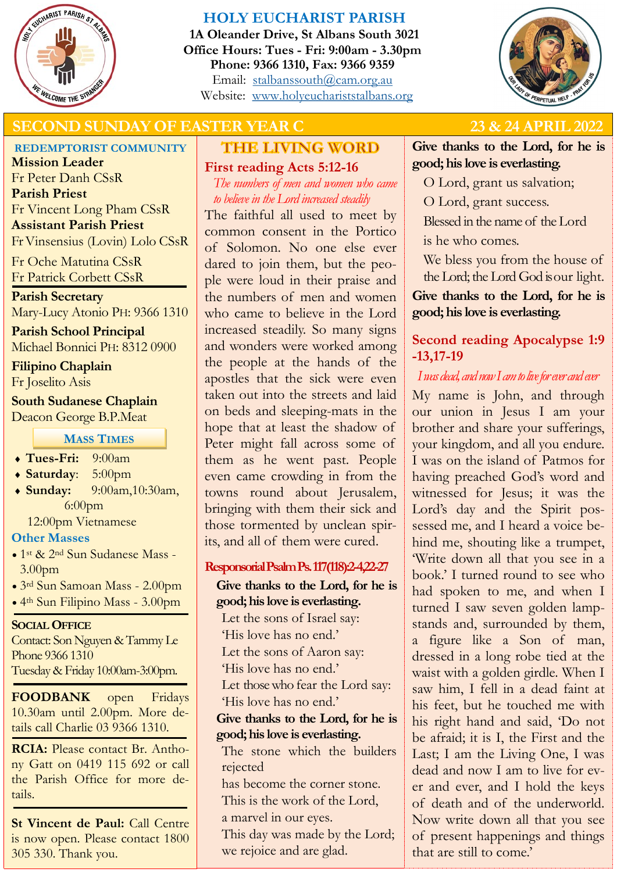

#### **HOLY EUCHARIST PARISH**

**1A Oleander Drive, St Albans South 3021 Office Hours: Tues - Fri: 9:00am - 3.30pm Phone: 9366 1310, Fax: 9366 9359** Email: [stalbanssouth@cam.org.au](mailto:stalbanssouth@cam.org.au) Website:[www.holyeuchariststalbans.org](http://www.holyeuchariststalbans.org)



## **SECOND SUNDAY OF EASTER YEAR C 23 & 24 APRIL 2022**

#### **REDEMPTORIST COMMUNITY**

**Mission Leader** Fr Peter Danh CSsR **Parish Priest** Fr Vincent Long Pham CSsR **Assistant Parish Priest**  Fr Vinsensius (Lovin) Lolo CSsR

Fr Oche Matutina CSsR Fr Patrick Corbett CSsR

**Parish Secretary** Mary-Lucy Atonio PH: 9366 1310

**Parish School Principal** Michael Bonnici PH: 8312 0900

**Filipino Chaplain** Fr Joselito Asis

**South Sudanese Chaplain** Deacon George B.P.Meat

**MASS TIMES**

- **Tues-Fri:** 9:00am
- **Saturday**: 5:00pm
- **Sunday:** 9:00am,10:30am, 6:00pm

12:00pm Vietnamese

#### **Other Masses**

- 1st & 2nd Sun Sudanese Mass -3.00pm
- 3rd Sun Samoan Mass 2.00pm
- 4th Sun Filipino Mass 3.00pm

#### **SOCIAL OFFICE**

Contact: Son Nguyen & Tammy Le Phone 9366 1310 Tuesday & Friday 10:00am-3:00pm.

**FOODBANK** open Fridays 10.30am until 2.00pm. More details call Charlie 03 9366 1310.

**RCIA:** Please contact Br. Anthony Gatt on 0419 115 692 or call the Parish Office for more details.

**St Vincent de Paul:** Call Centre is now open. Please contact 1800 305 330. Thank you.

# **THE LIVING WORD**

**First reading Acts 5:12-16**

*The numbers of men and women who came to believe in the Lord increased steadily*

The faithful all used to meet by common consent in the Portico of Solomon. No one else ever dared to join them, but the people were loud in their praise and the numbers of men and women

who came to believe in the Lord increased steadily. So many signs and wonders were worked among the people at the hands of the apostles that the sick were even taken out into the streets and laid on beds and sleeping-mats in the hope that at least the shadow of Peter might fall across some of them as he went past. People even came crowding in from the towns round about Jerusalem, bringing with them their sick and those tormented by unclean spirits, and all of them were cured.

## **Responsorial Psalm Ps. 117(118):2-4,22-27**

**Give thanks to the Lord, for he is good; his love is everlasting.**

Let the sons of Israel say: 'His love has no end.' Let the sons of Aaron say: 'His love has no end.' Let those who fear the Lord say: 'His love has no end.'

#### **Give thanks to the Lord, for he is good; his love is everlasting.**

The stone which the builders rejected

has become the corner stone.

This is the work of the Lord,

a marvel in our eyes.

This day was made by the Lord; we rejoice and are glad.

#### **Give thanks to the Lord, for he is good; his love is everlasting.**

O Lord, grant us salvation;

O Lord, grant success.

Blessed in the name of the Lord

is he who comes.

We bless you from the house of the Lord; the Lord God is our light.

**Give thanks to the Lord, for he is good; his love is everlasting.**

## **Second reading Apocalypse 1:9 -13,17-19**

## *I was dead, and now I am to live for ever and ever*

My name is John, and through our union in Jesus I am your brother and share your sufferings, your kingdom, and all you endure. I was on the island of Patmos for having preached God's word and witnessed for Jesus; it was the Lord's day and the Spirit possessed me, and I heard a voice behind me, shouting like a trumpet, 'Write down all that you see in a book.' I turned round to see who had spoken to me, and when I turned I saw seven golden lampstands and, surrounded by them, a figure like a Son of man, dressed in a long robe tied at the waist with a golden girdle. When I saw him, I fell in a dead faint at his feet, but he touched me with his right hand and said, 'Do not be afraid; it is I, the First and the Last; I am the Living One, I was dead and now I am to live for ever and ever, and I hold the keys of death and of the underworld. Now write down all that you see of present happenings and things that are still to come.'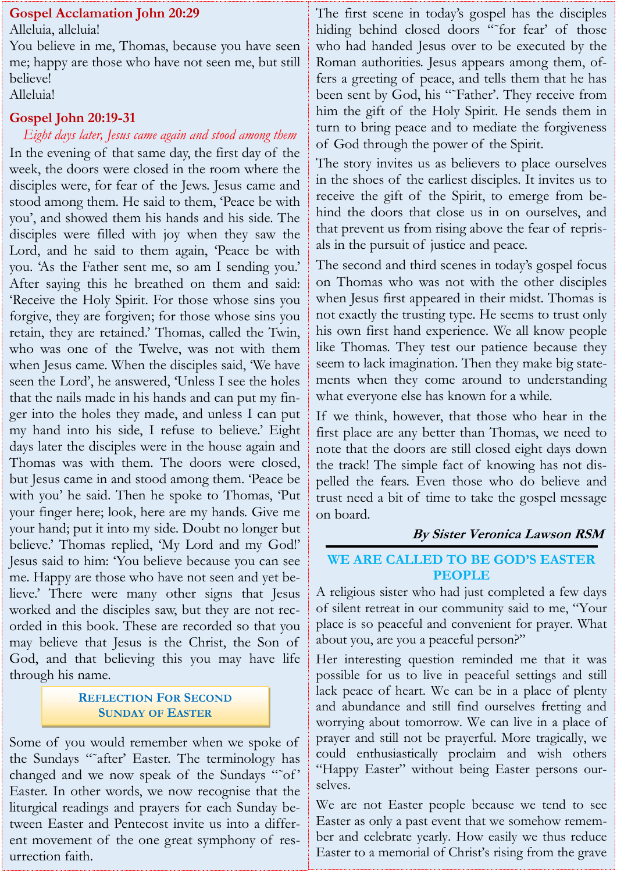## **Gospel Acclamation John 20:29**

Alleluia, alleluia!

You believe in me, Thomas, because you have seen me; happy are those who have not seen me, but still believe! Alleluia!

## **Gospel John 20:19-31**

## *Eight days later, Jesus came again and stood among them* In the evening of that same day, the first day of the week, the doors were closed in the room where the disciples were, for fear of the Jews. Jesus came and stood among them. He said to them, 'Peace be with you', and showed them his hands and his side. The disciples were filled with joy when they saw the Lord, and he said to them again, 'Peace be with you. 'As the Father sent me, so am I sending you.' After saying this he breathed on them and said: 'Receive the Holy Spirit. For those whose sins you forgive, they are forgiven; for those whose sins you retain, they are retained.' Thomas, called the Twin, who was one of the Twelve, was not with them when Jesus came. When the disciples said, 'We have seen the Lord', he answered, 'Unless I see the holes that the nails made in his hands and can put my finger into the holes they made, and unless I can put my hand into his side, I refuse to believe.' Eight days later the disciples were in the house again and Thomas was with them. The doors were closed, but Jesus came in and stood among them. 'Peace be with you' he said. Then he spoke to Thomas, 'Put your finger here; look, here are my hands. Give me your hand; put it into my side. Doubt no longer but believe.' Thomas replied, 'My Lord and my God!' Jesus said to him: 'You believe because you can see me. Happy are those who have not seen and yet believe.' There were many other signs that Jesus worked and the disciples saw, but they are not recorded in this book. These are recorded so that you may believe that Jesus is the Christ, the Son of God, and that believing this you may have life through his name.

#### **REFLECTION FOR SECOND SUNDAY OF EASTER**

Some of you would remember when we spoke of the Sundays "˜after' Easter. The terminology has changed and we now speak of the Sundays "˜of ' Easter. In other words, we now recognise that the liturgical readings and prayers for each Sunday between Easter and Pentecost invite us into a different movement of the one great symphony of resurrection faith.

The first scene in today's gospel has the disciples hiding behind closed doors "<sup>or</sup>for fear' of those who had handed Jesus over to be executed by the Roman authorities. Jesus appears among them, offers a greeting of peace, and tells them that he has been sent by God, his "˜Father'. They receive from him the gift of the Holy Spirit. He sends them in turn to bring peace and to mediate the forgiveness of God through the power of the Spirit.

The story invites us as believers to place ourselves in the shoes of the earliest disciples. It invites us to receive the gift of the Spirit, to emerge from behind the doors that close us in on ourselves, and that prevent us from rising above the fear of reprisals in the pursuit of justice and peace.

The second and third scenes in today's gospel focus on Thomas who was not with the other disciples when Jesus first appeared in their midst. Thomas is not exactly the trusting type. He seems to trust only his own first hand experience. We all know people like Thomas. They test our patience because they seem to lack imagination. Then they make big statements when they come around to understanding what everyone else has known for a while.

If we think, however, that those who hear in the first place are any better than Thomas, we need to note that the doors are still closed eight days down the track! The simple fact of knowing has not dispelled the fears. Even those who do believe and trust need a bit of time to take the gospel message on board.

## **By Sister Veronica Lawson RSM**

## **WE ARE CALLED TO BE GOD'S EASTER PEOPLE**

A religious sister who had just completed a few days of silent retreat in our community said to me, "Your place is so peaceful and convenient for prayer. What about you, are you a peaceful person?"

Her interesting question reminded me that it was possible for us to live in peaceful settings and still lack peace of heart. We can be in a place of plenty and abundance and still find ourselves fretting and worrying about tomorrow. We can live in a place of prayer and still not be prayerful. More tragically, we could enthusiastically proclaim and wish others "Happy Easter" without being Easter persons ourselves.

We are not Easter people because we tend to see Easter as only a past event that we somehow remember and celebrate yearly. How easily we thus reduce Easter to a memorial of Christ's rising from the grave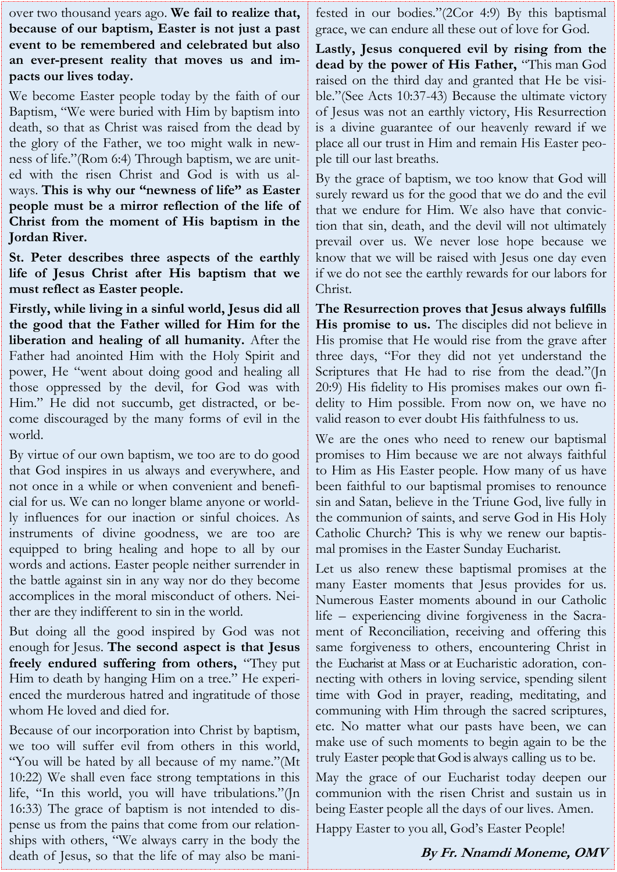over two thousand years ago. **We fail to realize that, because of our baptism, Easter is not just a past event to be remembered and celebrated but also an ever-present reality that moves us and impacts our lives today.** 

We become Easter people today by the faith of our Baptism, "We were buried with Him by baptism into death, so that as Christ was raised from the dead by the glory of the Father, we too might walk in newness of life."(Rom 6:4) Through baptism, we are united with the risen Christ and God is with us always. **This is why our "newness of life" as Easter people must be a mirror reflection of the life of Christ from the moment of His baptism in the Jordan River.**

**St. Peter describes three aspects of the earthly life of Jesus Christ after His baptism that we must reflect as Easter people.**

**Firstly, while living in a sinful world, Jesus did all the good that the Father willed for Him for the liberation and healing of all humanity.** After the Father had anointed Him with the Holy Spirit and power, He "went about doing good and healing all those oppressed by the devil, for God was with Him." He did not succumb, get distracted, or become discouraged by the many forms of evil in the world.

By virtue of our own baptism, we too are to do good that God inspires in us always and everywhere, and not once in a while or when convenient and beneficial for us. We can no longer blame anyone or worldly influences for our inaction or sinful choices. As instruments of divine goodness, we are too are equipped to bring healing and hope to all by our words and actions. Easter people neither surrender in the battle against sin in any way nor do they become accomplices in the moral misconduct of others. Neither are they indifferent to sin in the world.

But doing all the good inspired by God was not enough for Jesus. **The second aspect is that Jesus freely endured suffering from others,** "They put Him to death by hanging Him on a tree." He experienced the murderous hatred and ingratitude of those whom He loved and died for.

Because of our incorporation into Christ by baptism, we too will suffer evil from others in this world, "You will be hated by all because of my name."(Mt 10:22) We shall even face strong temptations in this life, "In this world, you will have tribulations."(Jn 16:33) The grace of baptism is not intended to dispense us from the pains that come from our relationships with others, "We always carry in the body the death of Jesus, so that the life of may also be mani-

fested in our bodies."(2Cor 4:9) By this baptismal grace, we can endure all these out of love for God.

**Lastly, Jesus conquered evil by rising from the dead by the power of His Father,** "This man God raised on the third day and granted that He be visible."(See Acts 10:37-43) Because the ultimate victory of Jesus was not an earthly victory, His Resurrection is a divine guarantee of our heavenly reward if we place all our trust in Him and remain His Easter people till our last breaths.

By the grace of baptism, we too know that God will surely reward us for the good that we do and the evil that we endure for Him. We also have that conviction that sin, death, and the devil will not ultimately prevail over us. We never lose hope because we know that we will be raised with Jesus one day even if we do not see the earthly rewards for our labors for Christ.

**The Resurrection proves that Jesus always fulfills His promise to us.** The disciples did not believe in His promise that He would rise from the grave after three days, "For they did not yet understand the Scriptures that He had to rise from the dead."(In 20:9) His fidelity to His promises makes our own fidelity to Him possible. From now on, we have no valid reason to ever doubt His faithfulness to us.

We are the ones who need to renew our baptismal promises to Him because we are not always faithful to Him as His Easter people. How many of us have been faithful to our baptismal promises to renounce sin and Satan, believe in the Triune God, live fully in the communion of saints, and serve God in His Holy Catholic Church? This is why we renew our baptismal promises in the Easter Sunday Eucharist.

Let us also renew these baptismal promises at the many Easter moments that Jesus provides for us. Numerous Easter moments abound in our Catholic life – experiencing divine forgiveness in the Sacrament of Reconciliation, receiving and offering this same forgiveness to others, encountering Christ in the Eucharist at Mass or at Eucharistic adoration, connecting with others in loving service, spending silent time with God in prayer, reading, meditating, and communing with Him through the sacred scriptures, etc. No matter what our pasts have been, we can make use of such moments to begin again to be the truly Easter people that God is always calling us to be.

May the grace of our Eucharist today deepen our communion with the risen Christ and sustain us in being Easter people all the days of our lives. Amen.

Happy Easter to you all, God's Easter People!

**By Fr. Nnamdi Moneme, OMV**